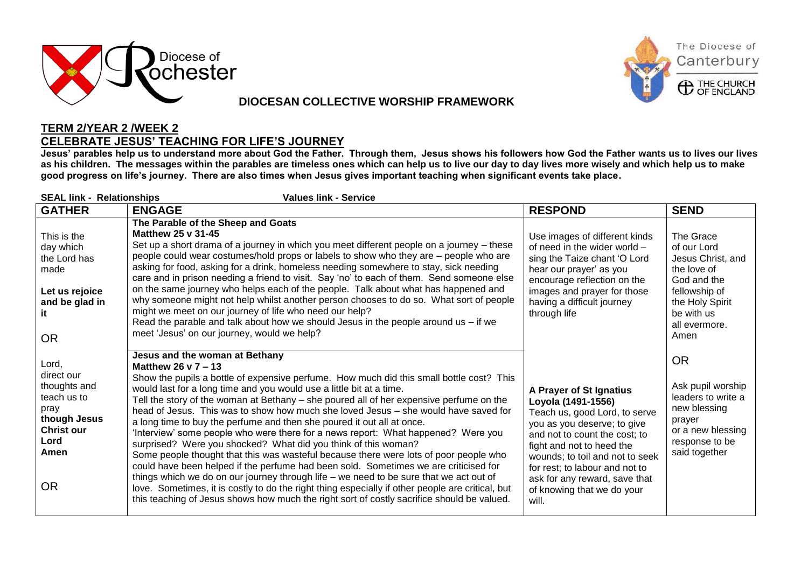

## **DIOCESAN COLLECTIVE WORSHIP FRAMEWORK**



## **TERM 2/YEAR 2 /WEEK 2 CELEBRATE JESUS' TEACHING FOR LIFE'S JOURNEY**

**Jesus' parables help us to understand more about God the Father. Through them, Jesus shows his followers how God the Father wants us to lives our lives as his children. The messages within the parables are timeless ones which can help us to live our day to day lives more wisely and which help us to make good progress on life's journey. There are also times when Jesus gives important teaching when significant events take place.**

| <b>SEAL link - Relationships</b><br><b>Values link - Service</b>                                                             |                                                                                                                                                                                                                                                                                                                                                                                                                                                                                                                                                                                                                                                                                                                                                                                                                                                                                                                                                                                                                                                                                                                             |                                                                                                                                                                                                                                                                                                                          |                                                                                                                                                        |  |  |
|------------------------------------------------------------------------------------------------------------------------------|-----------------------------------------------------------------------------------------------------------------------------------------------------------------------------------------------------------------------------------------------------------------------------------------------------------------------------------------------------------------------------------------------------------------------------------------------------------------------------------------------------------------------------------------------------------------------------------------------------------------------------------------------------------------------------------------------------------------------------------------------------------------------------------------------------------------------------------------------------------------------------------------------------------------------------------------------------------------------------------------------------------------------------------------------------------------------------------------------------------------------------|--------------------------------------------------------------------------------------------------------------------------------------------------------------------------------------------------------------------------------------------------------------------------------------------------------------------------|--------------------------------------------------------------------------------------------------------------------------------------------------------|--|--|
| <b>GATHER</b>                                                                                                                | <b>ENGAGE</b>                                                                                                                                                                                                                                                                                                                                                                                                                                                                                                                                                                                                                                                                                                                                                                                                                                                                                                                                                                                                                                                                                                               | <b>RESPOND</b>                                                                                                                                                                                                                                                                                                           | <b>SEND</b>                                                                                                                                            |  |  |
| This is the<br>day which<br>the Lord has<br>made<br>Let us rejoice<br>and be glad in<br>it<br><b>OR</b>                      | The Parable of the Sheep and Goats<br><b>Matthew 25 v 31-45</b><br>Set up a short drama of a journey in which you meet different people on a journey - these<br>people could wear costumes/hold props or labels to show who they are - people who are<br>asking for food, asking for a drink, homeless needing somewhere to stay, sick needing<br>care and in prison needing a friend to visit. Say 'no' to each of them. Send someone else<br>on the same journey who helps each of the people. Talk about what has happened and<br>why someone might not help whilst another person chooses to do so. What sort of people<br>might we meet on our journey of life who need our help?<br>Read the parable and talk about how we should Jesus in the people around us $-$ if we<br>meet 'Jesus' on our journey, would we help?                                                                                                                                                                                                                                                                                              | Use images of different kinds<br>of need in the wider world -<br>sing the Taize chant 'O Lord<br>hear our prayer' as you<br>encourage reflection on the<br>images and prayer for those<br>having a difficult journey<br>through life                                                                                     | The Grace<br>of our Lord<br>Jesus Christ, and<br>the love of<br>God and the<br>fellowship of<br>the Holy Spirit<br>be with us<br>all evermore.<br>Amen |  |  |
| Lord,<br>direct our<br>thoughts and<br>teach us to<br>pray<br>though Jesus<br><b>Christ our</b><br>Lord<br>Amen<br><b>OR</b> | Jesus and the woman at Bethany<br>Matthew 26 $y$ 7 – 13<br>Show the pupils a bottle of expensive perfume. How much did this small bottle cost? This<br>would last for a long time and you would use a little bit at a time.<br>Tell the story of the woman at Bethany – she poured all of her expensive perfume on the<br>head of Jesus. This was to show how much she loved Jesus - she would have saved for<br>a long time to buy the perfume and then she poured it out all at once.<br>'Interview' some people who were there for a news report: What happened? Were you<br>surprised? Were you shocked? What did you think of this woman?<br>Some people thought that this was wasteful because there were lots of poor people who<br>could have been helped if the perfume had been sold. Sometimes we are criticised for<br>things which we do on our journey through life – we need to be sure that we act out of<br>love. Sometimes, it is costly to do the right thing especially if other people are critical, but<br>this teaching of Jesus shows how much the right sort of costly sacrifice should be valued. | A Prayer of St Ignatius<br>Loyola (1491-1556)<br>Teach us, good Lord, to serve<br>you as you deserve; to give<br>and not to count the cost; to<br>fight and not to heed the<br>wounds; to toil and not to seek<br>for rest; to labour and not to<br>ask for any reward, save that<br>of knowing that we do your<br>will. | <b>OR</b><br>Ask pupil worship<br>leaders to write a<br>new blessing<br>prayer<br>or a new blessing<br>response to be<br>said together                 |  |  |